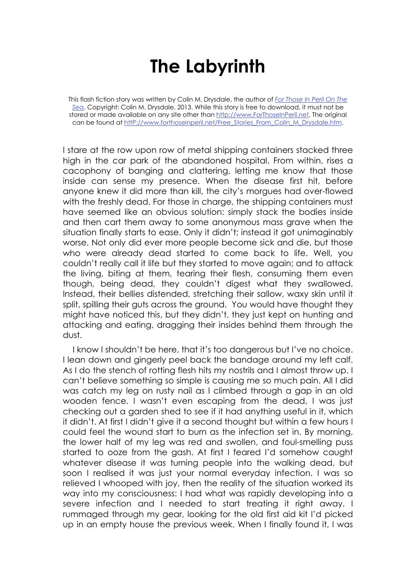## **The Labyrinth**

This flash fiction story was written by Colin M. Drysdale, the author of *For Those In Peril On The Sea*. Copyright: Colin M. Drysdale, 2013. While this story is free to download, it must not be stored or made available on any site other than http://www.ForThoseInPeril.net. The original can be found at http://www.forthoseinperil.net/Free\_Stories\_From\_Colin\_M\_Drysdale.htm.

I stare at the row upon row of metal shipping containers stacked three high in the car park of the abandoned hospital. From within, rises a cacophony of banging and clattering, letting me know that those inside can sense my presence. When the disease first hit, before anyone knew it did more than kill, the city's morgues had over-flowed with the freshly dead. For those in charge, the shipping containers must have seemed like an obvious solution: simply stack the bodies inside and then cart them away to some anonymous mass grave when the situation finally starts to ease. Only it didn't; instead it got unimaginably worse. Not only did ever more people become sick and die, but those who were already dead started to come back to life. Well, you couldn't really call it life but they started to move again; and to attack the living, biting at them, tearing their flesh, consuming them even though, being dead, they couldn't digest what they swallowed. Instead, their bellies distended, stretching their sallow, waxy skin until it split, spilling their guts across the ground. You would have thought they might have noticed this, but they didn't, they just kept on hunting and attacking and eating, dragging their insides behind them through the dust.

I know I shouldn't be here, that it's too dangerous but I've no choice. I lean down and gingerly peel back the bandage around my left calf. As I do the stench of rotting flesh hits my nostrils and I almost throw up. I can't believe something so simple is causing me so much pain. All I did was catch my leg on rusty nail as I climbed through a gap in an old wooden fence. I wasn't even escaping from the dead, I was just checking out a garden shed to see if it had anything useful in it, which it didn't. At first I didn't give it a second thought but within a few hours I could feel the wound start to burn as the infection set in. By morning, the lower half of my leg was red and swollen, and foul-smelling puss started to ooze from the gash. At first I feared I'd somehow caught whatever disease it was turning people into the walking dead, but soon I realised it was just your normal everyday infection. I was so relieved I whooped with joy, then the reality of the situation worked its way into my consciousness: I had what was rapidly developing into a severe infection and I needed to start treating it right away. I rummaged through my gear, looking for the old first aid kit I'd picked up in an empty house the previous week. When I finally found it, I was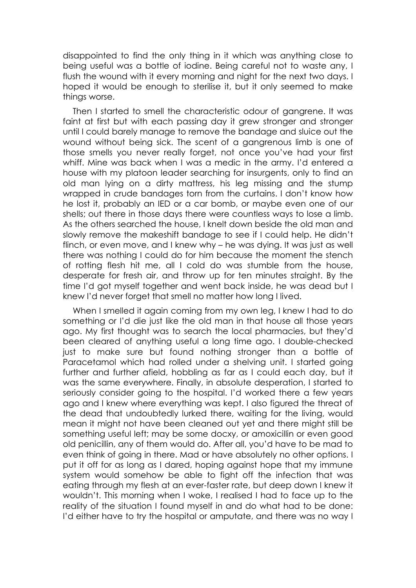disappointed to find the only thing in it which was anything close to being useful was a bottle of iodine. Being careful not to waste any, I flush the wound with it every morning and night for the next two days. I hoped it would be enough to sterilise it, but it only seemed to make things worse.

Then I started to smell the characteristic odour of gangrene. It was faint at first but with each passing day it grew stronger and stronger until I could barely manage to remove the bandage and sluice out the wound without being sick. The scent of a gangrenous limb is one of those smells you never really forget, not once you've had your first whiff. Mine was back when I was a medic in the army. I'd entered a house with my platoon leader searching for insurgents, only to find an old man lying on a dirty mattress, his leg missing and the stump wrapped in crude bandages torn from the curtains. I don't know how he lost it, probably an IED or a car bomb, or maybe even one of our shells; out there in those days there were countless ways to lose a limb. As the others searched the house, I knelt down beside the old man and slowly remove the makeshift bandage to see if I could help. He didn't flinch, or even move, and I knew why – he was dying. It was just as well there was nothing I could do for him because the moment the stench of rotting flesh hit me, all I cold do was stumble from the house, desperate for fresh air, and throw up for ten minutes straight. By the time I'd got myself together and went back inside, he was dead but I knew I'd never forget that smell no matter how long I lived.

When I smelled it again coming from my own leg, I knew I had to do something or I'd die just like the old man in that house all those years ago. My first thought was to search the local pharmacies, but they'd been cleared of anything useful a long time ago. I double-checked just to make sure but found nothing stronger than a bottle of Paracetamol which had rolled under a shelving unit. I started going further and further afield, hobbling as far as I could each day, but it was the same everywhere. Finally, in absolute desperation, I started to seriously consider going to the hospital. I'd worked there a few years ago and I knew where everything was kept. I also figured the threat of the dead that undoubtedly lurked there, waiting for the living, would mean it might not have been cleaned out yet and there might still be something useful left; may be some docxy, or amoxicillin or even good old penicillin, any of them would do. After all, you'd have to be mad to even think of going in there. Mad or have absolutely no other options. I put it off for as long as I dared, hoping against hope that my immune system would somehow be able to fight off the infection that was eating through my flesh at an ever-faster rate, but deep down I knew it wouldn't. This morning when I woke, I realised I had to face up to the reality of the situation I found myself in and do what had to be done: I'd either have to try the hospital or amputate, and there was no way I